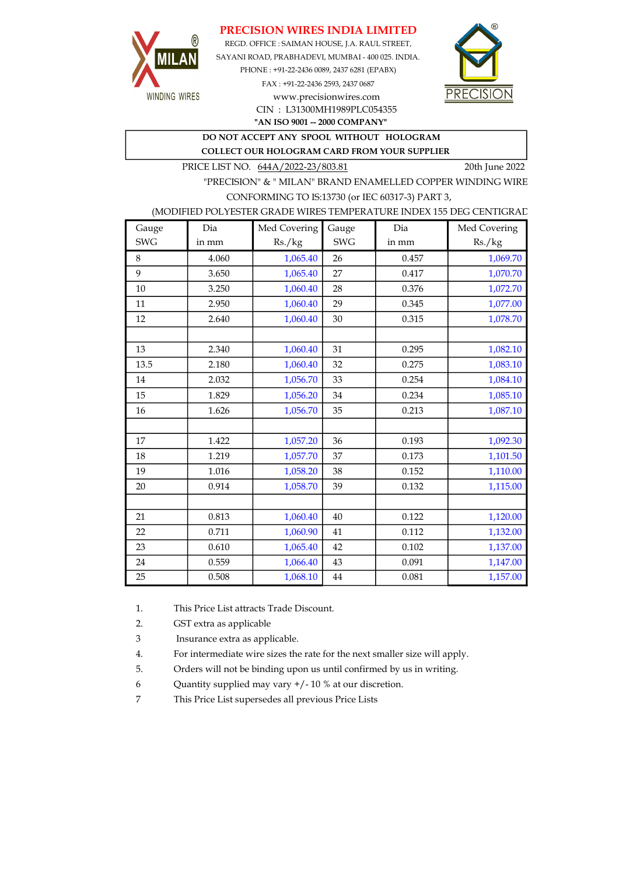### PRECISION WIRES INDIA LIMITED



REGD. OFFICE : SAIMAN HOUSE, J.A. RAUL STREET, SAYANI ROAD, PRABHADEVI, MUMBAI - 400 025. INDIA. PHONE : +91-22-2436 0089, 2437 6281 (EPABX) FAX : +91-22-2436 2593, 2437 0687 www.precisionwires.com



"AN ISO 9001 -- 2000 COMPANY" CIN : L31300MH1989PLC054355

DO NOT ACCEPT ANY SPOOL WITHOUT HOLOGRAM

COLLECT OUR HOLOGRAM CARD FROM YOUR SUPPLIER

PRICE LIST NO. 644A/2022-23/803.81 20th June 2022

"PRECISION" & " MILAN" BRAND ENAMELLED COPPER WINDING WIRE CONFORMING TO IS:13730 (or IEC 60317-3) PART 3,

### (MODIFIED POLYESTER GRADE WIRES TEMPERATURE INDEX 155 DEG CENTIGRAD

| Gauge      | Dia   | Med Covering | Gauge      | Dia   | Med Covering |
|------------|-------|--------------|------------|-------|--------------|
| <b>SWG</b> | in mm | Rs./kg       | <b>SWG</b> | in mm | Rs./kg       |
| 8          | 4.060 | 1,065.40     | 26         | 0.457 | 1,069.70     |
| 9          | 3.650 | 1,065.40     | 27         | 0.417 | 1,070.70     |
| 10         | 3.250 | 1,060.40     | 28         | 0.376 | 1,072.70     |
| 11         | 2.950 | 1,060.40     | 29         | 0.345 | 1,077.00     |
| 12         | 2.640 | 1,060.40     | 30         | 0.315 | 1,078.70     |
|            |       |              |            |       |              |
| 13         | 2.340 | 1,060.40     | 31         | 0.295 | 1,082.10     |
| 13.5       | 2.180 | 1,060.40     | 32         | 0.275 | 1,083.10     |
| 14         | 2.032 | 1,056.70     | 33         | 0.254 | 1,084.10     |
| 15         | 1.829 | 1,056.20     | 34         | 0.234 | 1,085.10     |
| 16         | 1.626 | 1,056.70     | 35         | 0.213 | 1,087.10     |
|            |       |              |            |       |              |
| 17         | 1.422 | 1,057.20     | 36         | 0.193 | 1,092.30     |
| 18         | 1.219 | 1,057.70     | 37         | 0.173 | 1,101.50     |
| 19         | 1.016 | 1,058.20     | 38         | 0.152 | 1,110.00     |
| 20         | 0.914 | 1,058.70     | 39         | 0.132 | 1,115.00     |
|            |       |              |            |       |              |
| 21         | 0.813 | 1,060.40     | 40         | 0.122 | 1,120.00     |
| 22         | 0.711 | 1,060.90     | 41         | 0.112 | 1,132.00     |
| 23         | 0.610 | 1,065.40     | 42         | 0.102 | 1,137.00     |
| 24         | 0.559 | 1,066.40     | 43         | 0.091 | 1,147.00     |
| 25         | 0.508 | 1,068.10     | 44         | 0.081 | 1,157.00     |

1. This Price List attracts Trade Discount.

2. GST extra as applicable

3 Insurance extra as applicable.

4. For intermediate wire sizes the rate for the next smaller size will apply.

5. Orders will not be binding upon us until confirmed by us in writing.

6 Quantity supplied may vary +/- 10 % at our discretion.

7 This Price List supersedes all previous Price Lists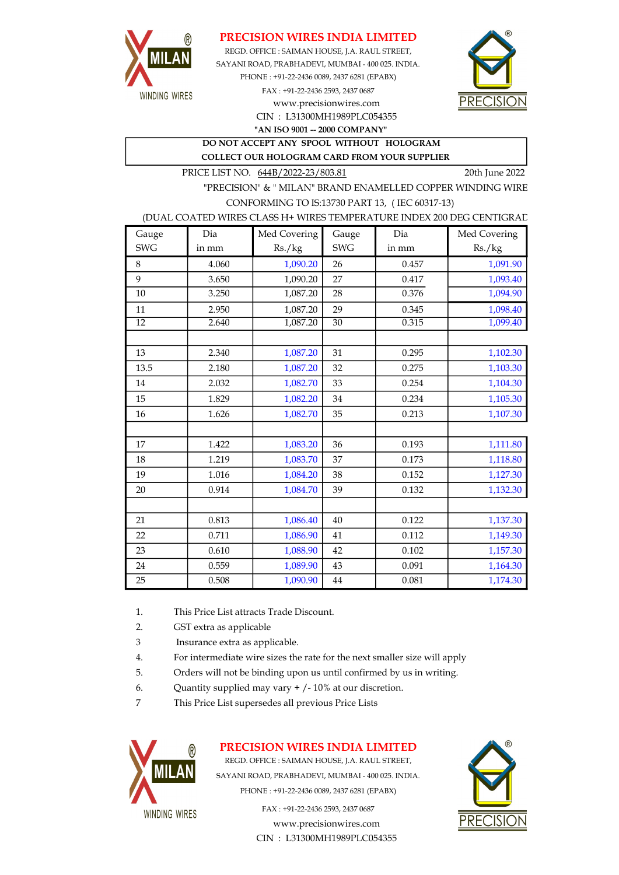

### PRECISION WIRES INDIA LIMITED

SAYANI ROAD, PRABHADEVI, MUMBAI - 400 025. INDIA. PHONE : +91-22-2436 0089, 2437 6281 (EPABX) FAX : +91-22-2436 2593, 2437 0687 www.precisionwires.com REGD. OFFICE : SAIMAN HOUSE, J.A. RAUL STREET,



CIN : L31300MH1989PLC054355 "AN ISO 9001 -- 2000 COMPANY"

#### DO NOT ACCEPT ANY SPOOL WITHOUT HOLOGRAM COLLECT OUR HOLOGRAM CARD FROM YOUR SUPPLIER

PRICE LIST NO. 644B/2022-23/803.81 20th June 2022

"PRECISION" & " MILAN" BRAND ENAMELLED COPPER WINDING WIRE CONFORMING TO IS:13730 PART 13, ( IEC 60317-13)

#### (DUAL COATED WIRES CLASS H+ WIRES TEMPERATURE INDEX 200 DEG CENTIGRAD

| Gauge           | Dia   | Med Covering | Gauge           | Dia   | Med Covering |
|-----------------|-------|--------------|-----------------|-------|--------------|
| <b>SWG</b>      | in mm | Rs./kg       | <b>SWG</b>      | in mm | Rs./kg       |
| 8               | 4.060 | 1,090.20     | 26              | 0.457 | 1,091.90     |
| 9               | 3.650 | 1,090.20     | 27              | 0.417 | 1,093.40     |
| 10              | 3.250 | 1,087.20     | 28              | 0.376 | 1,094.90     |
| 11              | 2.950 | 1,087.20     | 29              | 0.345 | 1,098.40     |
| $\overline{12}$ | 2.640 | 1,087.20     | $\overline{30}$ | 0.315 | 1,099.40     |
|                 |       |              |                 |       |              |
| 13              | 2.340 | 1,087.20     | 31              | 0.295 | 1,102.30     |
| 13.5            | 2.180 | 1,087.20     | 32              | 0.275 | 1,103.30     |
| 14              | 2.032 | 1,082.70     | 33              | 0.254 | 1,104.30     |
| 15              | 1.829 | 1,082.20     | 34              | 0.234 | 1,105.30     |
| 16              | 1.626 | 1,082.70     | 35              | 0.213 | 1,107.30     |
|                 |       |              |                 |       |              |
| 17              | 1.422 | 1,083.20     | 36              | 0.193 | 1,111.80     |
| 18              | 1.219 | 1,083.70     | 37              | 0.173 | 1,118.80     |
| 19              | 1.016 | 1,084.20     | 38              | 0.152 | 1,127.30     |
| 20              | 0.914 | 1,084.70     | 39              | 0.132 | 1,132.30     |
|                 |       |              |                 |       |              |
| 21              | 0.813 | 1,086.40     | 40              | 0.122 | 1,137.30     |
| 22              | 0.711 | 1,086.90     | 41              | 0.112 | 1,149.30     |
| 23              | 0.610 | 1,088.90     | 42              | 0.102 | 1,157.30     |
| 24              | 0.559 | 1,089.90     | 43              | 0.091 | 1,164.30     |
| 25              | 0.508 | 1,090.90     | $\bf 44$        | 0.081 | 1,174.30     |

- 1. This Price List attracts Trade Discount.
- 2. GST extra as applicable
- 3 Insurance extra as applicable.
- 4. For intermediate wire sizes the rate for the next smaller size will apply
- 5. Orders will not be binding upon us until confirmed by us in writing.
- 6. Quantity supplied may vary  $+/-10\%$  at our discretion.
- 7 This Price List supersedes all previous Price Lists



# PRECISION WIRES INDIA LIMITED

REGD. OFFICE : SAIMAN HOUSE, J.A. RAUL STREET, SAYANI ROAD, PRABHADEVI, MUMBAI - 400 025. INDIA. PHONE : +91-22-2436 0089, 2437 6281 (EPABX)

> FAX : +91-22-2436 2593, 2437 0687 www.precisionwires.com CIN : L31300MH1989PLC054355